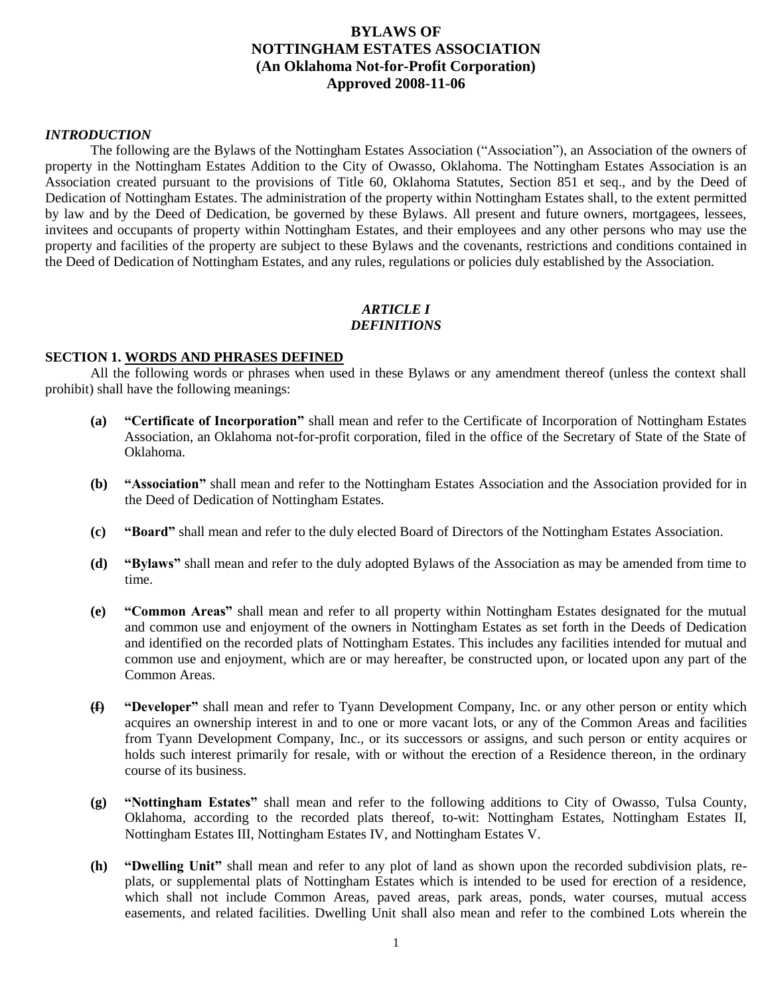# **BYLAWS OF NOTTINGHAM ESTATES ASSOCIATION (An Oklahoma Not-for-Profit Corporation) Approved 2008-11-06**

# *INTRODUCTION*

The following are the Bylaws of the Nottingham Estates Association ("Association"), an Association of the owners of property in the Nottingham Estates Addition to the City of Owasso, Oklahoma. The Nottingham Estates Association is an Association created pursuant to the provisions of Title 60, Oklahoma Statutes, Section 851 et seq., and by the Deed of Dedication of Nottingham Estates. The administration of the property within Nottingham Estates shall, to the extent permitted by law and by the Deed of Dedication, be governed by these Bylaws. All present and future owners, mortgagees, lessees, invitees and occupants of property within Nottingham Estates, and their employees and any other persons who may use the property and facilities of the property are subject to these Bylaws and the covenants, restrictions and conditions contained in the Deed of Dedication of Nottingham Estates, and any rules, regulations or policies duly established by the Association.

# *ARTICLE I DEFINITIONS*

#### **SECTION 1. WORDS AND PHRASES DEFINED**

All the following words or phrases when used in these Bylaws or any amendment thereof (unless the context shall prohibit) shall have the following meanings:

- **(a) "Certificate of Incorporation"** shall mean and refer to the Certificate of Incorporation of Nottingham Estates Association, an Oklahoma not-for-profit corporation, filed in the office of the Secretary of State of the State of Oklahoma.
- **(b) "Association"** shall mean and refer to the Nottingham Estates Association and the Association provided for in the Deed of Dedication of Nottingham Estates.
- **(c) "Board"** shall mean and refer to the duly elected Board of Directors of the Nottingham Estates Association.
- **(d) "Bylaws"** shall mean and refer to the duly adopted Bylaws of the Association as may be amended from time to time.
- **(e) "Common Areas"** shall mean and refer to all property within Nottingham Estates designated for the mutual and common use and enjoyment of the owners in Nottingham Estates as set forth in the Deeds of Dedication and identified on the recorded plats of Nottingham Estates. This includes any facilities intended for mutual and common use and enjoyment, which are or may hereafter, be constructed upon, or located upon any part of the Common Areas.
- **(f) "Developer"** shall mean and refer to Tyann Development Company, Inc. or any other person or entity which acquires an ownership interest in and to one or more vacant lots, or any of the Common Areas and facilities from Tyann Development Company, Inc., or its successors or assigns, and such person or entity acquires or holds such interest primarily for resale, with or without the erection of a Residence thereon, in the ordinary course of its business.
- **(g) "Nottingham Estates"** shall mean and refer to the following additions to City of Owasso, Tulsa County, Oklahoma, according to the recorded plats thereof, to-wit: Nottingham Estates, Nottingham Estates II, Nottingham Estates III, Nottingham Estates IV, and Nottingham Estates V.
- **(h) "Dwelling Unit"** shall mean and refer to any plot of land as shown upon the recorded subdivision plats, replats, or supplemental plats of Nottingham Estates which is intended to be used for erection of a residence, which shall not include Common Areas, paved areas, park areas, ponds, water courses, mutual access easements, and related facilities. Dwelling Unit shall also mean and refer to the combined Lots wherein the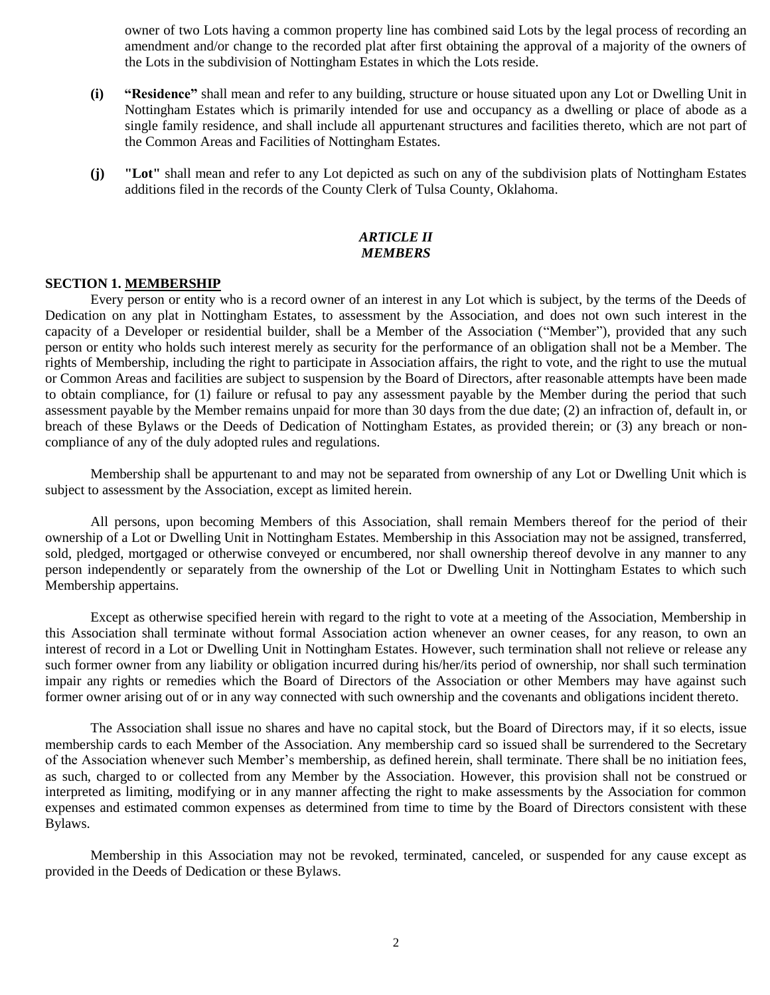owner of two Lots having a common property line has combined said Lots by the legal process of recording an amendment and/or change to the recorded plat after first obtaining the approval of a majority of the owners of the Lots in the subdivision of Nottingham Estates in which the Lots reside.

- **(i) "Residence"** shall mean and refer to any building, structure or house situated upon any Lot or Dwelling Unit in Nottingham Estates which is primarily intended for use and occupancy as a dwelling or place of abode as a single family residence, and shall include all appurtenant structures and facilities thereto, which are not part of the Common Areas and Facilities of Nottingham Estates.
- **(j) "Lot"** shall mean and refer to any Lot depicted as such on any of the subdivision plats of Nottingham Estates additions filed in the records of the County Clerk of Tulsa County, Oklahoma.

### *ARTICLE II MEMBERS*

## **SECTION 1. MEMBERSHIP**

Every person or entity who is a record owner of an interest in any Lot which is subject, by the terms of the Deeds of Dedication on any plat in Nottingham Estates, to assessment by the Association, and does not own such interest in the capacity of a Developer or residential builder, shall be a Member of the Association ("Member"), provided that any such person or entity who holds such interest merely as security for the performance of an obligation shall not be a Member. The rights of Membership, including the right to participate in Association affairs, the right to vote, and the right to use the mutual or Common Areas and facilities are subject to suspension by the Board of Directors, after reasonable attempts have been made to obtain compliance, for (1) failure or refusal to pay any assessment payable by the Member during the period that such assessment payable by the Member remains unpaid for more than 30 days from the due date; (2) an infraction of, default in, or breach of these Bylaws or the Deeds of Dedication of Nottingham Estates, as provided therein; or (3) any breach or noncompliance of any of the duly adopted rules and regulations.

Membership shall be appurtenant to and may not be separated from ownership of any Lot or Dwelling Unit which is subject to assessment by the Association, except as limited herein.

All persons, upon becoming Members of this Association, shall remain Members thereof for the period of their ownership of a Lot or Dwelling Unit in Nottingham Estates. Membership in this Association may not be assigned, transferred, sold, pledged, mortgaged or otherwise conveyed or encumbered, nor shall ownership thereof devolve in any manner to any person independently or separately from the ownership of the Lot or Dwelling Unit in Nottingham Estates to which such Membership appertains.

Except as otherwise specified herein with regard to the right to vote at a meeting of the Association, Membership in this Association shall terminate without formal Association action whenever an owner ceases, for any reason, to own an interest of record in a Lot or Dwelling Unit in Nottingham Estates. However, such termination shall not relieve or release any such former owner from any liability or obligation incurred during his/her/its period of ownership, nor shall such termination impair any rights or remedies which the Board of Directors of the Association or other Members may have against such former owner arising out of or in any way connected with such ownership and the covenants and obligations incident thereto.

The Association shall issue no shares and have no capital stock, but the Board of Directors may, if it so elects, issue membership cards to each Member of the Association. Any membership card so issued shall be surrendered to the Secretary of the Association whenever such Member's membership, as defined herein, shall terminate. There shall be no initiation fees, as such, charged to or collected from any Member by the Association. However, this provision shall not be construed or interpreted as limiting, modifying or in any manner affecting the right to make assessments by the Association for common expenses and estimated common expenses as determined from time to time by the Board of Directors consistent with these Bylaws.

Membership in this Association may not be revoked, terminated, canceled, or suspended for any cause except as provided in the Deeds of Dedication or these Bylaws.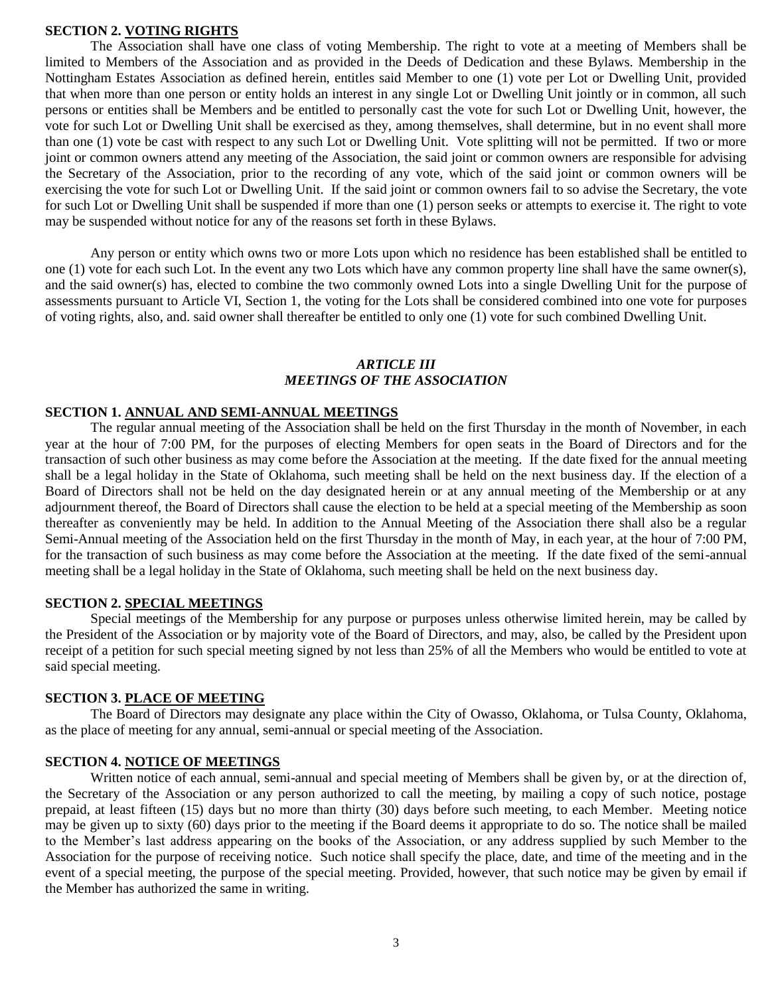#### **SECTION 2. VOTING RIGHTS**

The Association shall have one class of voting Membership. The right to vote at a meeting of Members shall be limited to Members of the Association and as provided in the Deeds of Dedication and these Bylaws. Membership in the Nottingham Estates Association as defined herein, entitles said Member to one (1) vote per Lot or Dwelling Unit, provided that when more than one person or entity holds an interest in any single Lot or Dwelling Unit jointly or in common, all such persons or entities shall be Members and be entitled to personally cast the vote for such Lot or Dwelling Unit, however, the vote for such Lot or Dwelling Unit shall be exercised as they, among themselves, shall determine, but in no event shall more than one (1) vote be cast with respect to any such Lot or Dwelling Unit. Vote splitting will not be permitted. If two or more joint or common owners attend any meeting of the Association, the said joint or common owners are responsible for advising the Secretary of the Association, prior to the recording of any vote, which of the said joint or common owners will be exercising the vote for such Lot or Dwelling Unit. If the said joint or common owners fail to so advise the Secretary, the vote for such Lot or Dwelling Unit shall be suspended if more than one (1) person seeks or attempts to exercise it. The right to vote may be suspended without notice for any of the reasons set forth in these Bylaws.

Any person or entity which owns two or more Lots upon which no residence has been established shall be entitled to one (1) vote for each such Lot. In the event any two Lots which have any common property line shall have the same owner(s), and the said owner(s) has, elected to combine the two commonly owned Lots into a single Dwelling Unit for the purpose of assessments pursuant to Article VI, Section 1, the voting for the Lots shall be considered combined into one vote for purposes of voting rights, also, and. said owner shall thereafter be entitled to only one (1) vote for such combined Dwelling Unit.

## *ARTICLE III MEETINGS OF THE ASSOCIATION*

#### **SECTION 1. ANNUAL AND SEMI-ANNUAL MEETINGS**

The regular annual meeting of the Association shall be held on the first Thursday in the month of November, in each year at the hour of 7:00 PM, for the purposes of electing Members for open seats in the Board of Directors and for the transaction of such other business as may come before the Association at the meeting. If the date fixed for the annual meeting shall be a legal holiday in the State of Oklahoma, such meeting shall be held on the next business day. If the election of a Board of Directors shall not be held on the day designated herein or at any annual meeting of the Membership or at any adjournment thereof, the Board of Directors shall cause the election to be held at a special meeting of the Membership as soon thereafter as conveniently may be held. In addition to the Annual Meeting of the Association there shall also be a regular Semi-Annual meeting of the Association held on the first Thursday in the month of May, in each year, at the hour of 7:00 PM, for the transaction of such business as may come before the Association at the meeting. If the date fixed of the semi-annual meeting shall be a legal holiday in the State of Oklahoma, such meeting shall be held on the next business day.

## **SECTION 2. SPECIAL MEETINGS**

Special meetings of the Membership for any purpose or purposes unless otherwise limited herein, may be called by the President of the Association or by majority vote of the Board of Directors, and may, also, be called by the President upon receipt of a petition for such special meeting signed by not less than 25% of all the Members who would be entitled to vote at said special meeting.

## **SECTION 3. PLACE OF MEETING**

The Board of Directors may designate any place within the City of Owasso, Oklahoma, or Tulsa County, Oklahoma, as the place of meeting for any annual, semi-annual or special meeting of the Association.

## **SECTION 4. NOTICE OF MEETINGS**

Written notice of each annual, semi-annual and special meeting of Members shall be given by, or at the direction of, the Secretary of the Association or any person authorized to call the meeting, by mailing a copy of such notice, postage prepaid, at least fifteen (15) days but no more than thirty (30) days before such meeting, to each Member. Meeting notice may be given up to sixty (60) days prior to the meeting if the Board deems it appropriate to do so. The notice shall be mailed to the Member's last address appearing on the books of the Association, or any address supplied by such Member to the Association for the purpose of receiving notice. Such notice shall specify the place, date, and time of the meeting and in the event of a special meeting, the purpose of the special meeting. Provided, however, that such notice may be given by email if the Member has authorized the same in writing.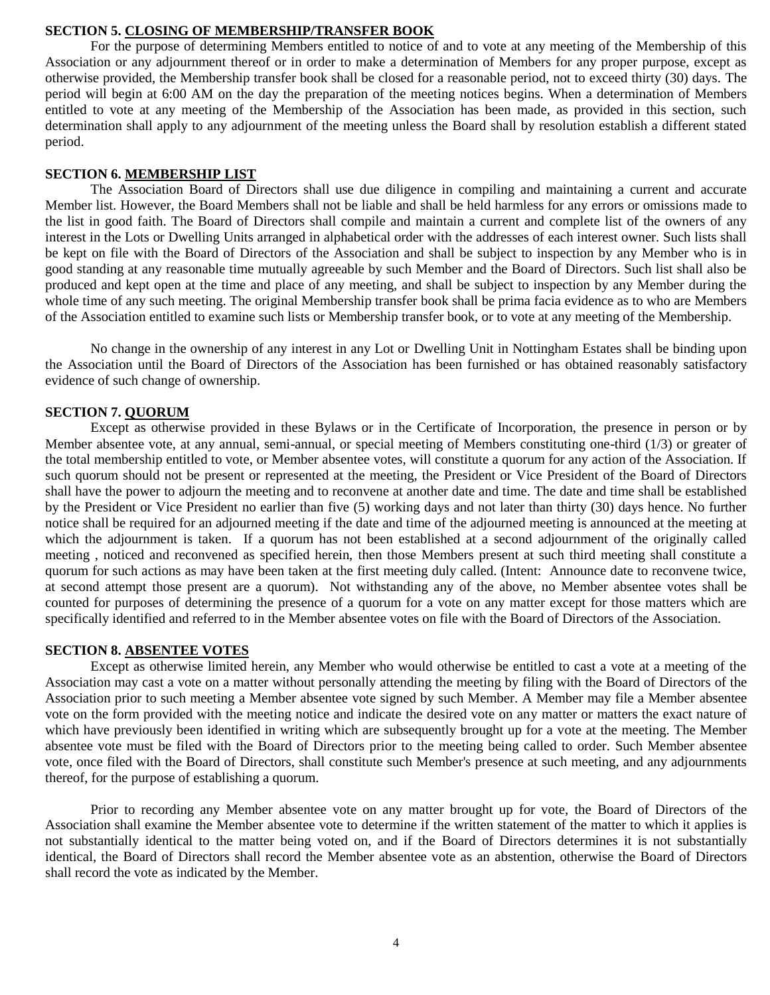# **SECTION 5. CLOSING OF MEMBERSHIP/TRANSFER BOOK**

For the purpose of determining Members entitled to notice of and to vote at any meeting of the Membership of this Association or any adjournment thereof or in order to make a determination of Members for any proper purpose, except as otherwise provided, the Membership transfer book shall be closed for a reasonable period, not to exceed thirty (30) days. The period will begin at 6:00 AM on the day the preparation of the meeting notices begins. When a determination of Members entitled to vote at any meeting of the Membership of the Association has been made, as provided in this section, such determination shall apply to any adjournment of the meeting unless the Board shall by resolution establish a different stated period.

## **SECTION 6. MEMBERSHIP LIST**

The Association Board of Directors shall use due diligence in compiling and maintaining a current and accurate Member list. However, the Board Members shall not be liable and shall be held harmless for any errors or omissions made to the list in good faith. The Board of Directors shall compile and maintain a current and complete list of the owners of any interest in the Lots or Dwelling Units arranged in alphabetical order with the addresses of each interest owner. Such lists shall be kept on file with the Board of Directors of the Association and shall be subject to inspection by any Member who is in good standing at any reasonable time mutually agreeable by such Member and the Board of Directors. Such list shall also be produced and kept open at the time and place of any meeting, and shall be subject to inspection by any Member during the whole time of any such meeting. The original Membership transfer book shall be prima facia evidence as to who are Members of the Association entitled to examine such lists or Membership transfer book, or to vote at any meeting of the Membership.

No change in the ownership of any interest in any Lot or Dwelling Unit in Nottingham Estates shall be binding upon the Association until the Board of Directors of the Association has been furnished or has obtained reasonably satisfactory evidence of such change of ownership.

#### **SECTION 7. QUORUM**

Except as otherwise provided in these Bylaws or in the Certificate of Incorporation, the presence in person or by Member absentee vote, at any annual, semi-annual, or special meeting of Members constituting one-third (1/3) or greater of the total membership entitled to vote, or Member absentee votes, will constitute a quorum for any action of the Association. If such quorum should not be present or represented at the meeting, the President or Vice President of the Board of Directors shall have the power to adjourn the meeting and to reconvene at another date and time. The date and time shall be established by the President or Vice President no earlier than five (5) working days and not later than thirty (30) days hence. No further notice shall be required for an adjourned meeting if the date and time of the adjourned meeting is announced at the meeting at which the adjournment is taken. If a quorum has not been established at a second adjournment of the originally called meeting , noticed and reconvened as specified herein, then those Members present at such third meeting shall constitute a quorum for such actions as may have been taken at the first meeting duly called. (Intent: Announce date to reconvene twice, at second attempt those present are a quorum). Not withstanding any of the above, no Member absentee votes shall be counted for purposes of determining the presence of a quorum for a vote on any matter except for those matters which are specifically identified and referred to in the Member absentee votes on file with the Board of Directors of the Association.

# **SECTION 8. ABSENTEE VOTES**

Except as otherwise limited herein, any Member who would otherwise be entitled to cast a vote at a meeting of the Association may cast a vote on a matter without personally attending the meeting by filing with the Board of Directors of the Association prior to such meeting a Member absentee vote signed by such Member. A Member may file a Member absentee vote on the form provided with the meeting notice and indicate the desired vote on any matter or matters the exact nature of which have previously been identified in writing which are subsequently brought up for a vote at the meeting. The Member absentee vote must be filed with the Board of Directors prior to the meeting being called to order. Such Member absentee vote, once filed with the Board of Directors, shall constitute such Member's presence at such meeting, and any adjournments thereof, for the purpose of establishing a quorum.

Prior to recording any Member absentee vote on any matter brought up for vote, the Board of Directors of the Association shall examine the Member absentee vote to determine if the written statement of the matter to which it applies is not substantially identical to the matter being voted on, and if the Board of Directors determines it is not substantially identical, the Board of Directors shall record the Member absentee vote as an abstention, otherwise the Board of Directors shall record the vote as indicated by the Member.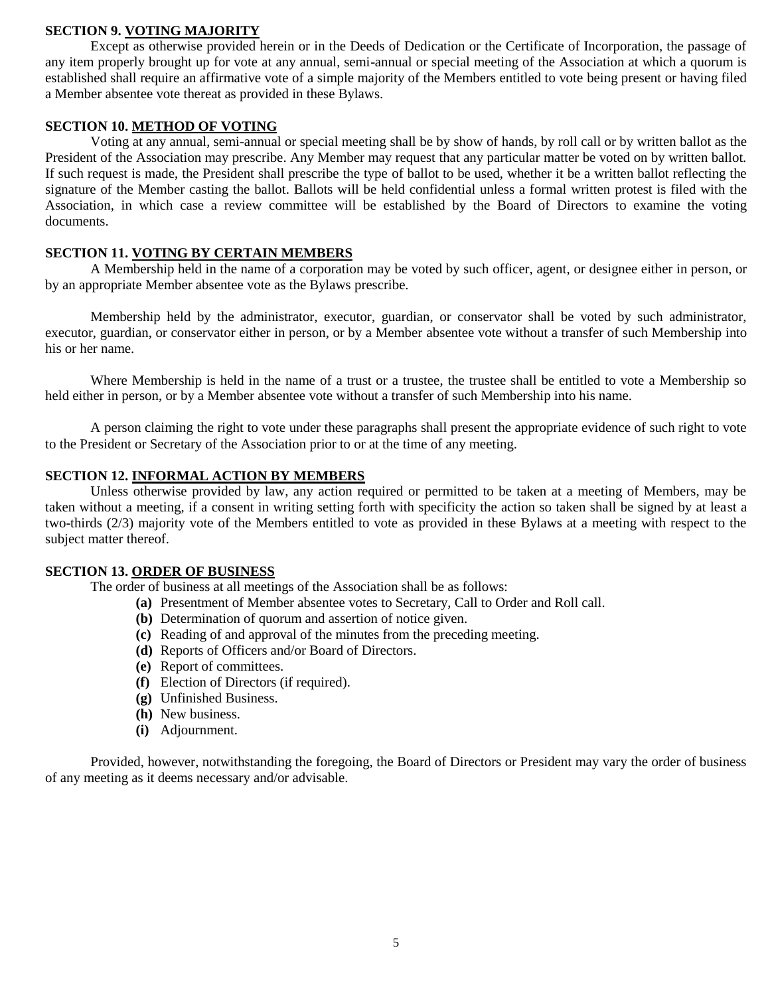# **SECTION 9. VOTING MAJORITY**

Except as otherwise provided herein or in the Deeds of Dedication or the Certificate of Incorporation, the passage of any item properly brought up for vote at any annual, semi-annual or special meeting of the Association at which a quorum is established shall require an affirmative vote of a simple majority of the Members entitled to vote being present or having filed a Member absentee vote thereat as provided in these Bylaws.

# **SECTION 10. METHOD OF VOTING**

Voting at any annual, semi-annual or special meeting shall be by show of hands, by roll call or by written ballot as the President of the Association may prescribe. Any Member may request that any particular matter be voted on by written ballot. If such request is made, the President shall prescribe the type of ballot to be used, whether it be a written ballot reflecting the signature of the Member casting the ballot. Ballots will be held confidential unless a formal written protest is filed with the Association, in which case a review committee will be established by the Board of Directors to examine the voting documents.

# **SECTION 11. VOTING BY CERTAIN MEMBERS**

A Membership held in the name of a corporation may be voted by such officer, agent, or designee either in person, or by an appropriate Member absentee vote as the Bylaws prescribe.

Membership held by the administrator, executor, guardian, or conservator shall be voted by such administrator, executor, guardian, or conservator either in person, or by a Member absentee vote without a transfer of such Membership into his or her name.

Where Membership is held in the name of a trust or a trustee, the trustee shall be entitled to vote a Membership so held either in person, or by a Member absentee vote without a transfer of such Membership into his name.

A person claiming the right to vote under these paragraphs shall present the appropriate evidence of such right to vote to the President or Secretary of the Association prior to or at the time of any meeting.

# **SECTION 12. INFORMAL ACTION BY MEMBERS**

Unless otherwise provided by law, any action required or permitted to be taken at a meeting of Members, may be taken without a meeting, if a consent in writing setting forth with specificity the action so taken shall be signed by at least a two-thirds (2/3) majority vote of the Members entitled to vote as provided in these Bylaws at a meeting with respect to the subject matter thereof.

#### **SECTION 13. ORDER OF BUSINESS**

The order of business at all meetings of the Association shall be as follows:

- **(a)** Presentment of Member absentee votes to Secretary, Call to Order and Roll call.
- **(b)** Determination of quorum and assertion of notice given.
- **(c)** Reading of and approval of the minutes from the preceding meeting.
- **(d)** Reports of Officers and/or Board of Directors.
- **(e)** Report of committees.
- **(f)** Election of Directors (if required).
- **(g)** Unfinished Business.
- **(h)** New business.
- **(i)** Adjournment.

Provided, however, notwithstanding the foregoing, the Board of Directors or President may vary the order of business of any meeting as it deems necessary and/or advisable.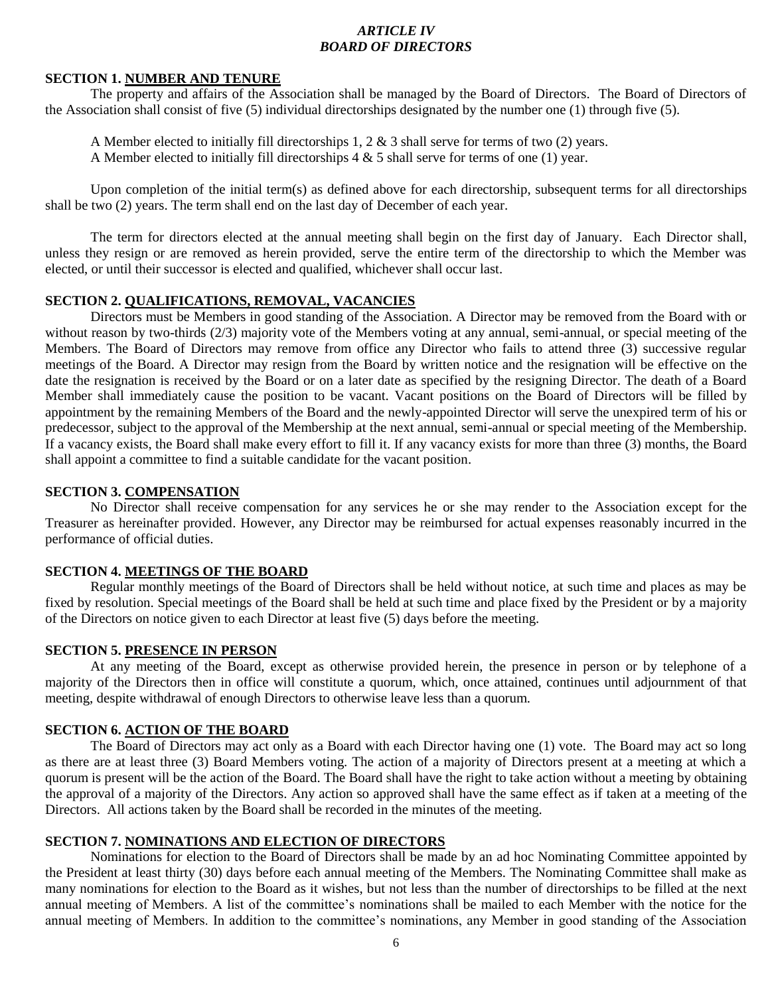# *ARTICLE IV BOARD OF DIRECTORS*

## **SECTION 1. NUMBER AND TENURE**

The property and affairs of the Association shall be managed by the Board of Directors. The Board of Directors of the Association shall consist of five (5) individual directorships designated by the number one (1) through five (5).

A Member elected to initially fill directorships 1, 2  $\&$  3 shall serve for terms of two (2) years.

A Member elected to initially fill directorships  $4 \& 5$  shall serve for terms of one (1) year.

Upon completion of the initial term(s) as defined above for each directorship, subsequent terms for all directorships shall be two (2) years. The term shall end on the last day of December of each year.

The term for directors elected at the annual meeting shall begin on the first day of January. Each Director shall, unless they resign or are removed as herein provided, serve the entire term of the directorship to which the Member was elected, or until their successor is elected and qualified, whichever shall occur last.

# **SECTION 2. QUALIFICATIONS, REMOVAL, VACANCIES**

Directors must be Members in good standing of the Association. A Director may be removed from the Board with or without reason by two-thirds (2/3) majority vote of the Members voting at any annual, semi-annual, or special meeting of the Members. The Board of Directors may remove from office any Director who fails to attend three (3) successive regular meetings of the Board. A Director may resign from the Board by written notice and the resignation will be effective on the date the resignation is received by the Board or on a later date as specified by the resigning Director. The death of a Board Member shall immediately cause the position to be vacant. Vacant positions on the Board of Directors will be filled by appointment by the remaining Members of the Board and the newly-appointed Director will serve the unexpired term of his or predecessor, subject to the approval of the Membership at the next annual, semi-annual or special meeting of the Membership. If a vacancy exists, the Board shall make every effort to fill it. If any vacancy exists for more than three (3) months, the Board shall appoint a committee to find a suitable candidate for the vacant position.

# **SECTION 3. COMPENSATION**

No Director shall receive compensation for any services he or she may render to the Association except for the Treasurer as hereinafter provided. However, any Director may be reimbursed for actual expenses reasonably incurred in the performance of official duties.

# **SECTION 4. MEETINGS OF THE BOARD**

Regular monthly meetings of the Board of Directors shall be held without notice, at such time and places as may be fixed by resolution. Special meetings of the Board shall be held at such time and place fixed by the President or by a majority of the Directors on notice given to each Director at least five (5) days before the meeting.

#### **SECTION 5. PRESENCE IN PERSON**

At any meeting of the Board, except as otherwise provided herein, the presence in person or by telephone of a majority of the Directors then in office will constitute a quorum, which, once attained, continues until adjournment of that meeting, despite withdrawal of enough Directors to otherwise leave less than a quorum.

#### **SECTION 6. ACTION OF THE BOARD**

The Board of Directors may act only as a Board with each Director having one (1) vote. The Board may act so long as there are at least three (3) Board Members voting. The action of a majority of Directors present at a meeting at which a quorum is present will be the action of the Board. The Board shall have the right to take action without a meeting by obtaining the approval of a majority of the Directors. Any action so approved shall have the same effect as if taken at a meeting of the Directors. All actions taken by the Board shall be recorded in the minutes of the meeting.

## **SECTION 7. NOMINATIONS AND ELECTION OF DIRECTORS**

Nominations for election to the Board of Directors shall be made by an ad hoc Nominating Committee appointed by the President at least thirty (30) days before each annual meeting of the Members. The Nominating Committee shall make as many nominations for election to the Board as it wishes, but not less than the number of directorships to be filled at the next annual meeting of Members. A list of the committee's nominations shall be mailed to each Member with the notice for the annual meeting of Members. In addition to the committee's nominations, any Member in good standing of the Association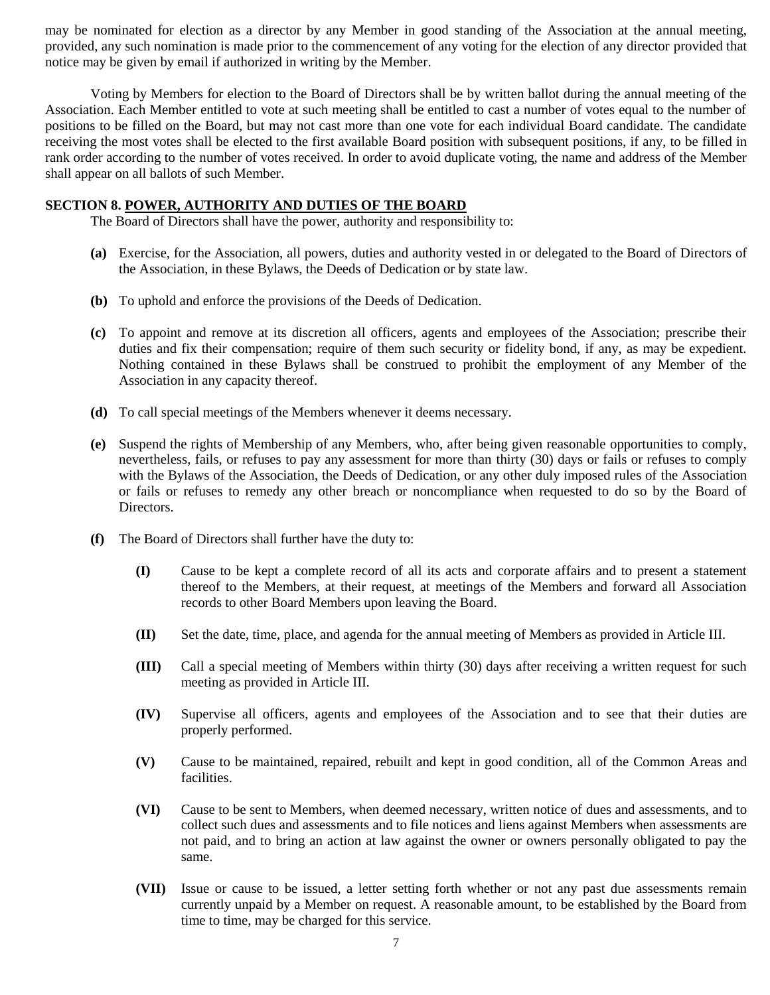may be nominated for election as a director by any Member in good standing of the Association at the annual meeting, provided, any such nomination is made prior to the commencement of any voting for the election of any director provided that notice may be given by email if authorized in writing by the Member.

Voting by Members for election to the Board of Directors shall be by written ballot during the annual meeting of the Association. Each Member entitled to vote at such meeting shall be entitled to cast a number of votes equal to the number of positions to be filled on the Board, but may not cast more than one vote for each individual Board candidate. The candidate receiving the most votes shall be elected to the first available Board position with subsequent positions, if any, to be filled in rank order according to the number of votes received. In order to avoid duplicate voting, the name and address of the Member shall appear on all ballots of such Member.

#### **SECTION 8. POWER, AUTHORITY AND DUTIES OF THE BOARD**

The Board of Directors shall have the power, authority and responsibility to:

- **(a)** Exercise, for the Association, all powers, duties and authority vested in or delegated to the Board of Directors of the Association, in these Bylaws, the Deeds of Dedication or by state law.
- **(b)** To uphold and enforce the provisions of the Deeds of Dedication.
- **(c)** To appoint and remove at its discretion all officers, agents and employees of the Association; prescribe their duties and fix their compensation; require of them such security or fidelity bond, if any, as may be expedient. Nothing contained in these Bylaws shall be construed to prohibit the employment of any Member of the Association in any capacity thereof.
- **(d)** To call special meetings of the Members whenever it deems necessary.
- **(e)** Suspend the rights of Membership of any Members, who, after being given reasonable opportunities to comply, nevertheless, fails, or refuses to pay any assessment for more than thirty (30) days or fails or refuses to comply with the Bylaws of the Association, the Deeds of Dedication, or any other duly imposed rules of the Association or fails or refuses to remedy any other breach or noncompliance when requested to do so by the Board of Directors.
- **(f)** The Board of Directors shall further have the duty to:
	- **(I)** Cause to be kept a complete record of all its acts and corporate affairs and to present a statement thereof to the Members, at their request, at meetings of the Members and forward all Association records to other Board Members upon leaving the Board.
	- **(II)** Set the date, time, place, and agenda for the annual meeting of Members as provided in Article III.
	- **(III)** Call a special meeting of Members within thirty (30) days after receiving a written request for such meeting as provided in Article III.
	- **(IV)** Supervise all officers, agents and employees of the Association and to see that their duties are properly performed.
	- **(V)** Cause to be maintained, repaired, rebuilt and kept in good condition, all of the Common Areas and facilities.
	- **(VI)** Cause to be sent to Members, when deemed necessary, written notice of dues and assessments, and to collect such dues and assessments and to file notices and liens against Members when assessments are not paid, and to bring an action at law against the owner or owners personally obligated to pay the same.
	- **(VII)** Issue or cause to be issued, a letter setting forth whether or not any past due assessments remain currently unpaid by a Member on request. A reasonable amount, to be established by the Board from time to time, may be charged for this service.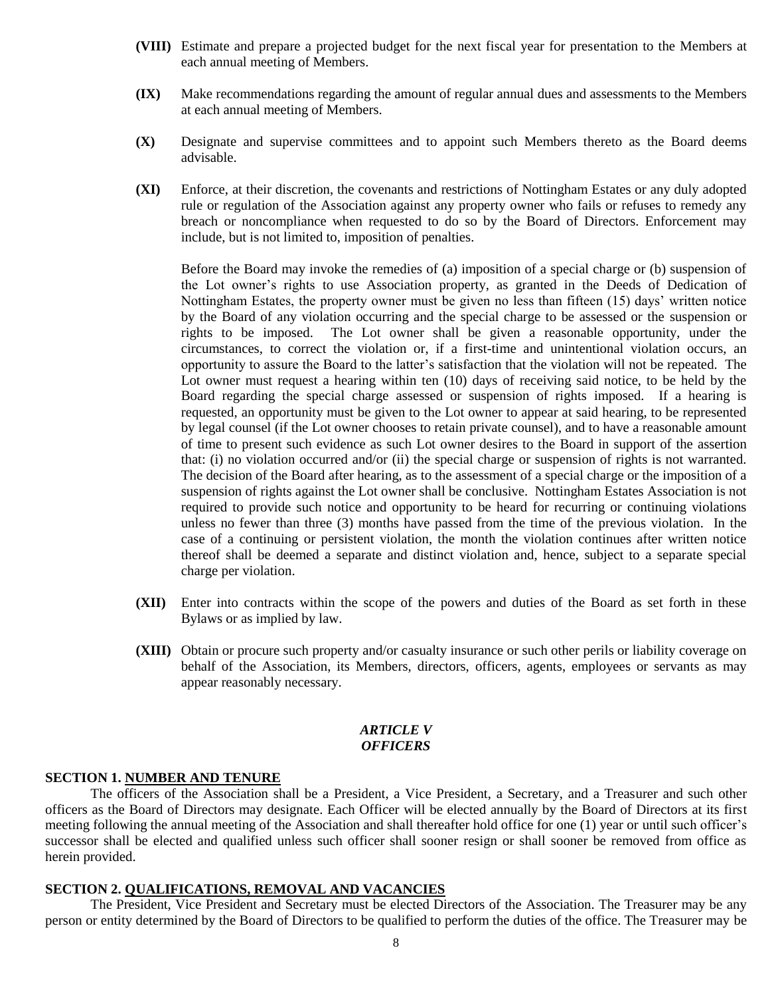- **(VIII)** Estimate and prepare a projected budget for the next fiscal year for presentation to the Members at each annual meeting of Members.
- **(IX)** Make recommendations regarding the amount of regular annual dues and assessments to the Members at each annual meeting of Members.
- **(X)** Designate and supervise committees and to appoint such Members thereto as the Board deems advisable.
- **(XI)** Enforce, at their discretion, the covenants and restrictions of Nottingham Estates or any duly adopted rule or regulation of the Association against any property owner who fails or refuses to remedy any breach or noncompliance when requested to do so by the Board of Directors. Enforcement may include, but is not limited to, imposition of penalties.

Before the Board may invoke the remedies of (a) imposition of a special charge or (b) suspension of the Lot owner's rights to use Association property, as granted in the Deeds of Dedication of Nottingham Estates, the property owner must be given no less than fifteen (15) days' written notice by the Board of any violation occurring and the special charge to be assessed or the suspension or rights to be imposed. The Lot owner shall be given a reasonable opportunity, under the circumstances, to correct the violation or, if a first-time and unintentional violation occurs, an opportunity to assure the Board to the latter's satisfaction that the violation will not be repeated. The Lot owner must request a hearing within ten (10) days of receiving said notice, to be held by the Board regarding the special charge assessed or suspension of rights imposed. If a hearing is requested, an opportunity must be given to the Lot owner to appear at said hearing, to be represented by legal counsel (if the Lot owner chooses to retain private counsel), and to have a reasonable amount of time to present such evidence as such Lot owner desires to the Board in support of the assertion that: (i) no violation occurred and/or (ii) the special charge or suspension of rights is not warranted. The decision of the Board after hearing, as to the assessment of a special charge or the imposition of a suspension of rights against the Lot owner shall be conclusive. Nottingham Estates Association is not required to provide such notice and opportunity to be heard for recurring or continuing violations unless no fewer than three (3) months have passed from the time of the previous violation. In the case of a continuing or persistent violation, the month the violation continues after written notice thereof shall be deemed a separate and distinct violation and, hence, subject to a separate special charge per violation.

- **(XII)** Enter into contracts within the scope of the powers and duties of the Board as set forth in these Bylaws or as implied by law.
- **(XIII)** Obtain or procure such property and/or casualty insurance or such other perils or liability coverage on behalf of the Association, its Members, directors, officers, agents, employees or servants as may appear reasonably necessary.

#### *ARTICLE V OFFICERS*

# **SECTION 1. NUMBER AND TENURE**

The officers of the Association shall be a President, a Vice President, a Secretary, and a Treasurer and such other officers as the Board of Directors may designate. Each Officer will be elected annually by the Board of Directors at its first meeting following the annual meeting of the Association and shall thereafter hold office for one (1) year or until such officer's successor shall be elected and qualified unless such officer shall sooner resign or shall sooner be removed from office as herein provided.

## **SECTION 2. QUALIFICATIONS, REMOVAL AND VACANCIES**

The President, Vice President and Secretary must be elected Directors of the Association. The Treasurer may be any person or entity determined by the Board of Directors to be qualified to perform the duties of the office. The Treasurer may be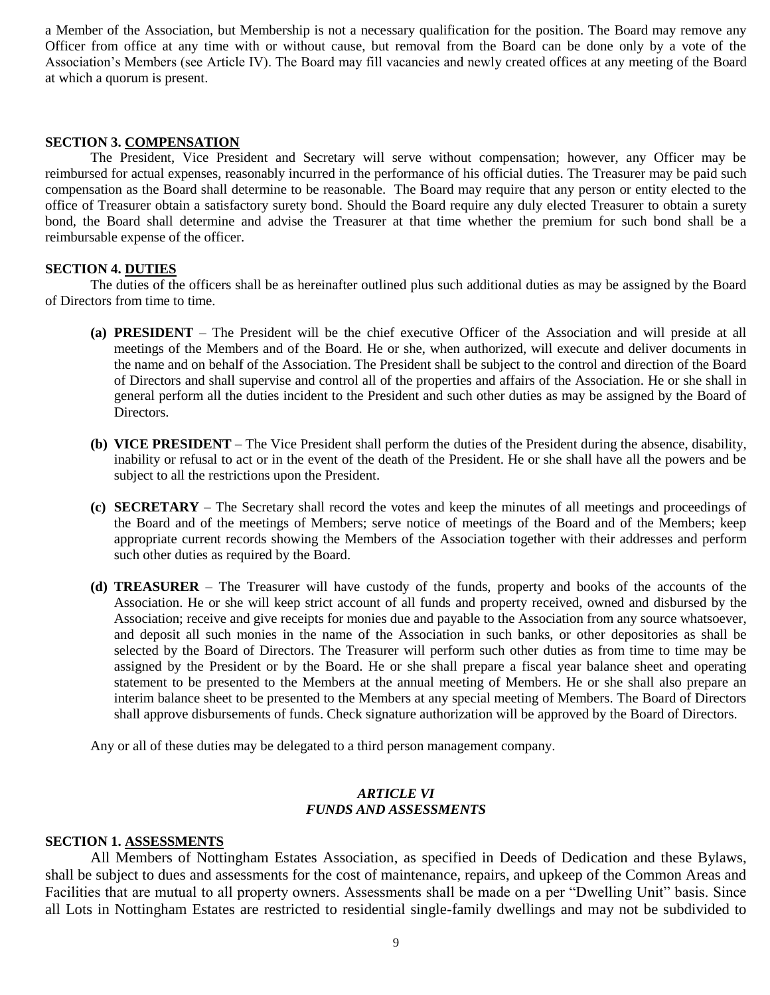a Member of the Association, but Membership is not a necessary qualification for the position. The Board may remove any Officer from office at any time with or without cause, but removal from the Board can be done only by a vote of the Association's Members (see Article IV). The Board may fill vacancies and newly created offices at any meeting of the Board at which a quorum is present.

# **SECTION 3. COMPENSATION**

The President, Vice President and Secretary will serve without compensation; however, any Officer may be reimbursed for actual expenses, reasonably incurred in the performance of his official duties. The Treasurer may be paid such compensation as the Board shall determine to be reasonable. The Board may require that any person or entity elected to the office of Treasurer obtain a satisfactory surety bond. Should the Board require any duly elected Treasurer to obtain a surety bond, the Board shall determine and advise the Treasurer at that time whether the premium for such bond shall be a reimbursable expense of the officer.

# **SECTION 4. DUTIES**

The duties of the officers shall be as hereinafter outlined plus such additional duties as may be assigned by the Board of Directors from time to time.

- **(a) PRESIDENT**  The President will be the chief executive Officer of the Association and will preside at all meetings of the Members and of the Board. He or she, when authorized, will execute and deliver documents in the name and on behalf of the Association. The President shall be subject to the control and direction of the Board of Directors and shall supervise and control all of the properties and affairs of the Association. He or she shall in general perform all the duties incident to the President and such other duties as may be assigned by the Board of Directors.
- **(b) VICE PRESIDENT**  The Vice President shall perform the duties of the President during the absence, disability, inability or refusal to act or in the event of the death of the President. He or she shall have all the powers and be subject to all the restrictions upon the President.
- **(c) SECRETARY** The Secretary shall record the votes and keep the minutes of all meetings and proceedings of the Board and of the meetings of Members; serve notice of meetings of the Board and of the Members; keep appropriate current records showing the Members of the Association together with their addresses and perform such other duties as required by the Board.
- **(d) TREASURER** The Treasurer will have custody of the funds, property and books of the accounts of the Association. He or she will keep strict account of all funds and property received, owned and disbursed by the Association; receive and give receipts for monies due and payable to the Association from any source whatsoever, and deposit all such monies in the name of the Association in such banks, or other depositories as shall be selected by the Board of Directors. The Treasurer will perform such other duties as from time to time may be assigned by the President or by the Board. He or she shall prepare a fiscal year balance sheet and operating statement to be presented to the Members at the annual meeting of Members. He or she shall also prepare an interim balance sheet to be presented to the Members at any special meeting of Members. The Board of Directors shall approve disbursements of funds. Check signature authorization will be approved by the Board of Directors.

Any or all of these duties may be delegated to a third person management company.

# *ARTICLE VI FUNDS AND ASSESSMENTS*

#### **SECTION 1. ASSESSMENTS**

All Members of Nottingham Estates Association, as specified in Deeds of Dedication and these Bylaws, shall be subject to dues and assessments for the cost of maintenance, repairs, and upkeep of the Common Areas and Facilities that are mutual to all property owners. Assessments shall be made on a per "Dwelling Unit" basis. Since all Lots in Nottingham Estates are restricted to residential single-family dwellings and may not be subdivided to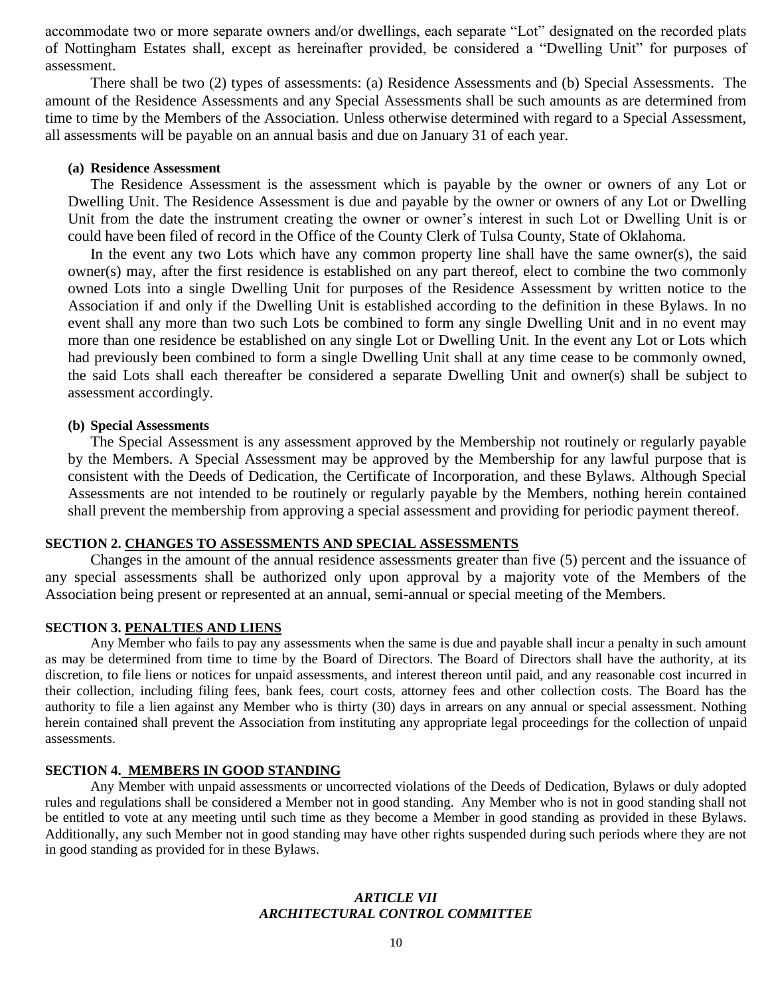accommodate two or more separate owners and/or dwellings, each separate "Lot" designated on the recorded plats of Nottingham Estates shall, except as hereinafter provided, be considered a "Dwelling Unit" for purposes of assessment.

There shall be two (2) types of assessments: (a) Residence Assessments and (b) Special Assessments. The amount of the Residence Assessments and any Special Assessments shall be such amounts as are determined from time to time by the Members of the Association. Unless otherwise determined with regard to a Special Assessment, all assessments will be payable on an annual basis and due on January 31 of each year.

## **(a) Residence Assessment**

The Residence Assessment is the assessment which is payable by the owner or owners of any Lot or Dwelling Unit. The Residence Assessment is due and payable by the owner or owners of any Lot or Dwelling Unit from the date the instrument creating the owner or owner's interest in such Lot or Dwelling Unit is or could have been filed of record in the Office of the County Clerk of Tulsa County, State of Oklahoma.

In the event any two Lots which have any common property line shall have the same owner(s), the said owner(s) may, after the first residence is established on any part thereof, elect to combine the two commonly owned Lots into a single Dwelling Unit for purposes of the Residence Assessment by written notice to the Association if and only if the Dwelling Unit is established according to the definition in these Bylaws. In no event shall any more than two such Lots be combined to form any single Dwelling Unit and in no event may more than one residence be established on any single Lot or Dwelling Unit. In the event any Lot or Lots which had previously been combined to form a single Dwelling Unit shall at any time cease to be commonly owned, the said Lots shall each thereafter be considered a separate Dwelling Unit and owner(s) shall be subject to assessment accordingly.

#### **(b) Special Assessments**

The Special Assessment is any assessment approved by the Membership not routinely or regularly payable by the Members. A Special Assessment may be approved by the Membership for any lawful purpose that is consistent with the Deeds of Dedication, the Certificate of Incorporation, and these Bylaws. Although Special Assessments are not intended to be routinely or regularly payable by the Members, nothing herein contained shall prevent the membership from approving a special assessment and providing for periodic payment thereof.

#### **SECTION 2. CHANGES TO ASSESSMENTS AND SPECIAL ASSESSMENTS**

Changes in the amount of the annual residence assessments greater than five (5) percent and the issuance of any special assessments shall be authorized only upon approval by a majority vote of the Members of the Association being present or represented at an annual, semi-annual or special meeting of the Members.

#### **SECTION 3. PENALTIES AND LIENS**

Any Member who fails to pay any assessments when the same is due and payable shall incur a penalty in such amount as may be determined from time to time by the Board of Directors. The Board of Directors shall have the authority, at its discretion, to file liens or notices for unpaid assessments, and interest thereon until paid, and any reasonable cost incurred in their collection, including filing fees, bank fees, court costs, attorney fees and other collection costs. The Board has the authority to file a lien against any Member who is thirty (30) days in arrears on any annual or special assessment. Nothing herein contained shall prevent the Association from instituting any appropriate legal proceedings for the collection of unpaid assessments.

# **SECTION 4. MEMBERS IN GOOD STANDING**

Any Member with unpaid assessments or uncorrected violations of the Deeds of Dedication, Bylaws or duly adopted rules and regulations shall be considered a Member not in good standing. Any Member who is not in good standing shall not be entitled to vote at any meeting until such time as they become a Member in good standing as provided in these Bylaws. Additionally, any such Member not in good standing may have other rights suspended during such periods where they are not in good standing as provided for in these Bylaws.

# *ARTICLE VII ARCHITECTURAL CONTROL COMMITTEE*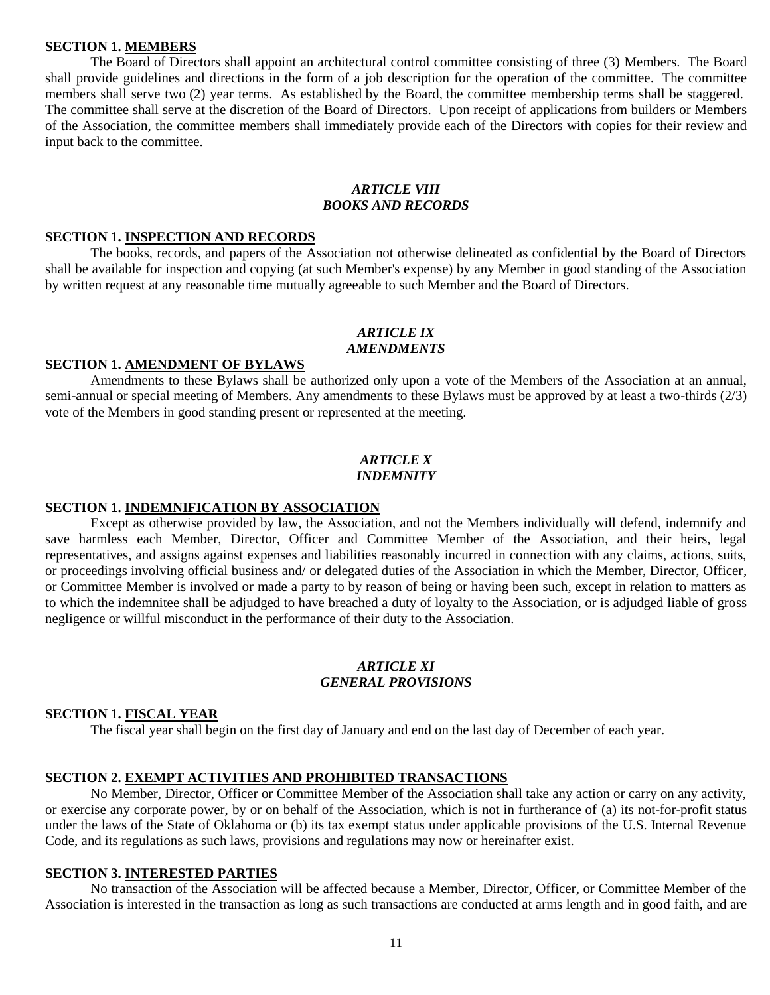## **SECTION 1. MEMBERS**

The Board of Directors shall appoint an architectural control committee consisting of three (3) Members. The Board shall provide guidelines and directions in the form of a job description for the operation of the committee. The committee members shall serve two (2) year terms. As established by the Board, the committee membership terms shall be staggered. The committee shall serve at the discretion of the Board of Directors. Upon receipt of applications from builders or Members of the Association, the committee members shall immediately provide each of the Directors with copies for their review and input back to the committee.

# *ARTICLE VIII BOOKS AND RECORDS*

## **SECTION 1. INSPECTION AND RECORDS**

The books, records, and papers of the Association not otherwise delineated as confidential by the Board of Directors shall be available for inspection and copying (at such Member's expense) by any Member in good standing of the Association by written request at any reasonable time mutually agreeable to such Member and the Board of Directors.

#### *ARTICLE IX AMENDMENTS*

#### **SECTION 1. AMENDMENT OF BYLAWS**

Amendments to these Bylaws shall be authorized only upon a vote of the Members of the Association at an annual, semi-annual or special meeting of Members. Any amendments to these Bylaws must be approved by at least a two-thirds (2/3) vote of the Members in good standing present or represented at the meeting.

## *ARTICLE X INDEMNITY*

#### **SECTION 1. INDEMNIFICATION BY ASSOCIATION**

Except as otherwise provided by law, the Association, and not the Members individually will defend, indemnify and save harmless each Member, Director, Officer and Committee Member of the Association, and their heirs, legal representatives, and assigns against expenses and liabilities reasonably incurred in connection with any claims, actions, suits, or proceedings involving official business and/ or delegated duties of the Association in which the Member, Director, Officer, or Committee Member is involved or made a party to by reason of being or having been such, except in relation to matters as to which the indemnitee shall be adjudged to have breached a duty of loyalty to the Association, or is adjudged liable of gross negligence or willful misconduct in the performance of their duty to the Association.

### *ARTICLE XI GENERAL PROVISIONS*

## **SECTION 1. FISCAL YEAR**

The fiscal year shall begin on the first day of January and end on the last day of December of each year.

# **SECTION 2. EXEMPT ACTIVITIES AND PROHIBITED TRANSACTIONS**

No Member, Director, Officer or Committee Member of the Association shall take any action or carry on any activity, or exercise any corporate power, by or on behalf of the Association, which is not in furtherance of (a) its not-for-profit status under the laws of the State of Oklahoma or (b) its tax exempt status under applicable provisions of the U.S. Internal Revenue Code, and its regulations as such laws, provisions and regulations may now or hereinafter exist.

## **SECTION 3. INTERESTED PARTIES**

No transaction of the Association will be affected because a Member, Director, Officer, or Committee Member of the Association is interested in the transaction as long as such transactions are conducted at arms length and in good faith, and are